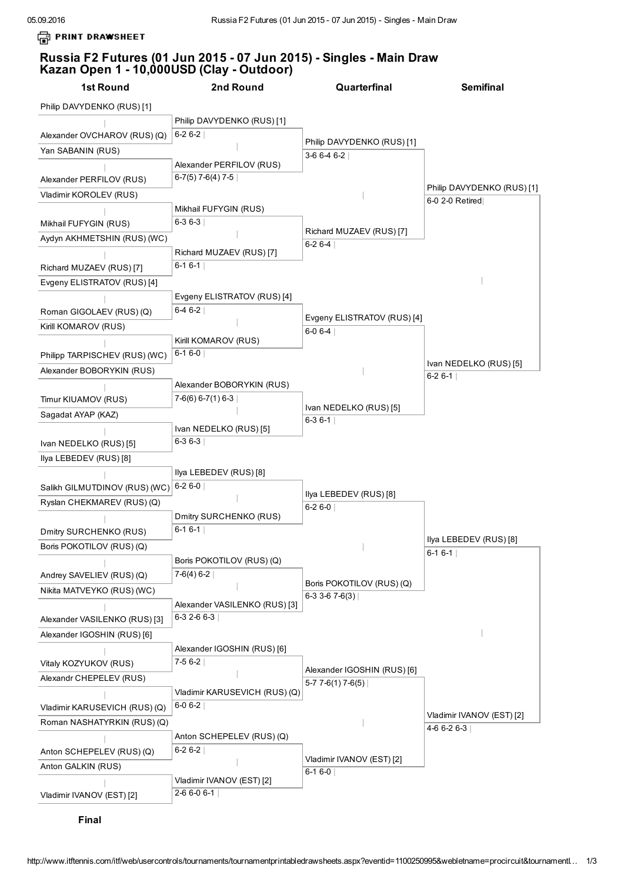**PRINT DRAWSHEET** 

## Russia F2 Futures (01 Jun 2015 - 07 Jun 2015) - Singles - Main Draw Kazan Open 1 - 10,000USD (Clay - Outdoor)

1st Round Philip DAVYDENKO (RUS) [1] *|* Alexander OVCHAROV (RUS) (Q) Yan SABANIN (RUS) *|* Alexander PERFILOV (RUS) Vladimir KOROLEV (RUS) *|* Mikhail FUFYGIN (RUS) Aydyn AKHMETSHIN (RUS) (WC) *|* Richard MUZAEV (RUS) [7] Evgeny ELISTRATOV (RUS) [4] Roman GIGOLAEV (RUS) (Q) Kirill KOMAROV (RUS) Philipp TARPISCHEV (RUS) (WC) Alexander BOBORYKIN (RUS) Timur KIUAMOV (RUS) Sagadat AYAP (KAZ) Ivan NEDELKO (RUS) [5] Ilya LEBEDEV (RUS) [8] Salikh GILMUTDINOV (RUS) (WC) Ryslan CHEKMAREV (RUS) (Q) Dmitry SURCHENKO (RUS) Boris POKOTILOV (RUS) (Q) Andrey SAVELIEV (RUS) (Q) Nikita MATVEYKO (RUS) (WC) Alexander VASILENKO (RUS) [3] Alexander IGOSHIN (RUS) [6] Vitaly KOZYUKOV (RUS) Alexandr CHEPELEV (RUS) Vladimir KARUSEVICH (RUS) (Q) Roman NASHATYRKIN (RUS) (Q) *|* Anton SCHEPELEV (RUS) (Q) Anton GALKIN (RUS) *|* Vladimir IVANOV (EST) [2] 2nd Round Philip DAVYDENKO (RUS) [1]  $6-26-2$ *|* Alexander PERFILOV (RUS) 6-7(5) 7-6(4) 7-5  $|$ Mikhail FUFYGIN (RUS)  $6-36-3$ *|* Richard MUZAEV (RUS) [7]  $6-16-1$ Evgeny ELISTRATOV (RUS) [4] 6-4 6-2 Kirill KOMAROV (RUS)  $6-16-0$ Alexander BOBORYKIN (RUS)  $7-6(6)$  6-7(1) 6-3 Ivan NEDELKO (RUS) [5]  $6-36-3$ Ilya LEBEDEV (RUS) [8]  $6 - 26 - 0$ Dmitry SURCHENKO (RUS)  $6-16-1$ Boris POKOTILOV (RUS) (Q)  $7-6(4) 6-2$ Alexander VASILENKO (RUS) [3]  $6-3$  2-6 6-3 Alexander IGOSHIN (RUS) [6]  $7-56-2$ Vladimir KARUSEVICH (RUS) (Q)  $6-06-2$ Anton SCHEPELEV (RUS) (Q)  $6-26-2$ *|* Vladimir IVANOV (EST) [2]  $2-66-06-1$ **Quarterfinal** Philip DAVYDENKO (RUS) [1]  $3-66-46-2$ *|* Richard MUZAEV (RUS) [7]  $6 - 26 - 4$ Evgeny ELISTRATOV (RUS) [4]  $6 - 06 - 4$ Ivan NEDELKO (RUS) [5]  $6 - 36 - 1$ Ilya LEBEDEV (RUS) [8]  $6-26-0$ Boris POKOTILOV (RUS) (Q)  $6-3$  3-6 7-6(3) Alexander IGOSHIN (RUS) [6]  $5-7$  7 $-6(1)$  7 $-6(5)$ Vladimir IVANOV (EST) [2]  $6-16-0$ Semifinal Philip DAVYDENKO (RUS) [1]  $6-0$  2-0 Retired Ivan NEDELKO (RUS) [5]  $6-26-1$ Ilya LEBEDEV (RUS) [8]  $6-16-1$ Vladimir IVANOV (EST) [2]  $4-66-26-3$ 

Final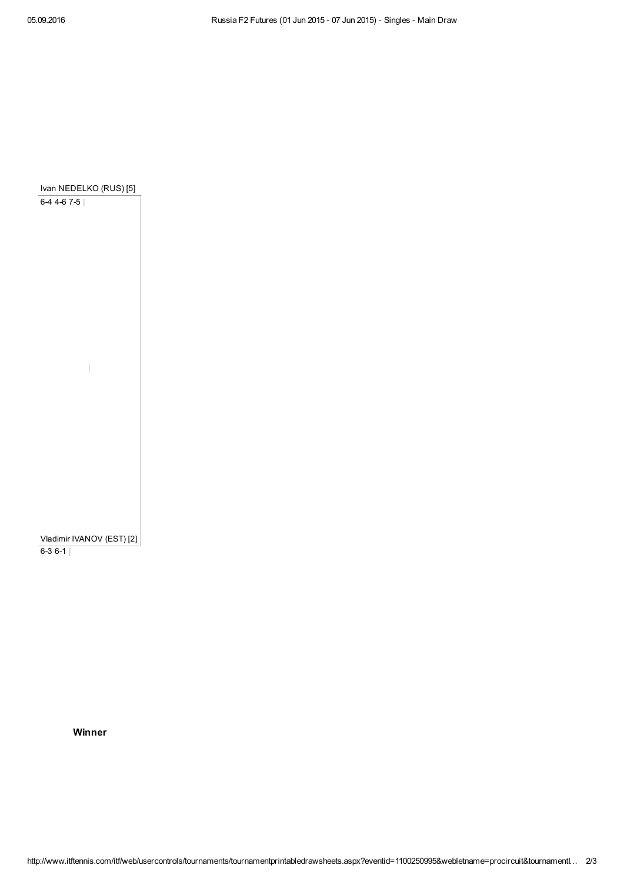

Winner